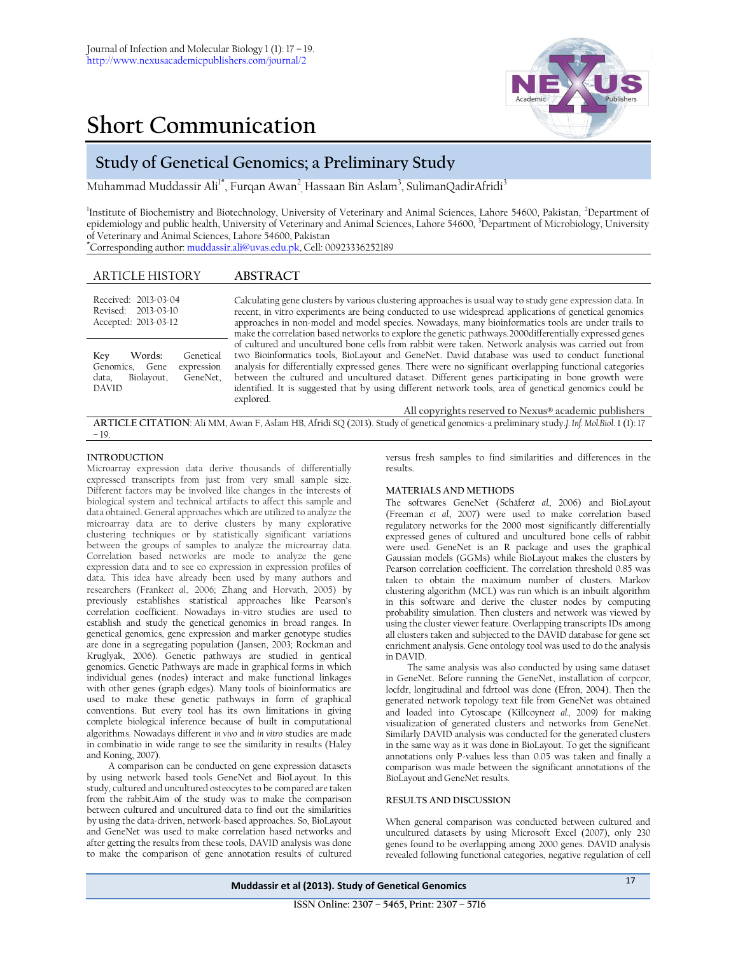

# **Short Communication**

## **Study of Genetical Genomics; a Preliminary Study**

Muhammad Muddassir Ali<sup>1\*</sup>, Furqan Awan<sup>2</sup><sub>,</sub> Hassaan Bin Aslam<sup>3</sup>, SulimanQadirAfridi<sup>3</sup>

<sup>1</sup>Institute of Biochemistry and Biotechnology, University of Veterinary and Animal Sciences, Lahore 54600, Pakistan, <sup>2</sup>Department of epidemiology and public health, University of Veterinary and Animal Sciences, Lahore 54600, 3Department of Microbiology, University of Veterinary and Animal Sciences, Lahore 54600, Pakistan

**\***Corresponding author[: muddassir.ali@uvas.edu.pk,](mailto:muddassir.ali@uvas.edu.pk) Cell: 00923336252189

### ARTICLE HISTORY **ABSTRACT**

| Received: 2013-03-04<br>Revised: 2013-03-10<br>Accepted: 2013-03-12                                              | Calculating gene clusters by various clustering approaches is usual way to study gene expression data. In<br>recent, in vitro experiments are being conducted to use widespread applications of genetical genomics<br>approaches in non-model and model species. Nowadays, many bioinformatics tools are under trails to<br>make the correlation based networks to explore the genetic pathways. 2000 differentially expressed genes                                                                                                                                                                |
|------------------------------------------------------------------------------------------------------------------|-----------------------------------------------------------------------------------------------------------------------------------------------------------------------------------------------------------------------------------------------------------------------------------------------------------------------------------------------------------------------------------------------------------------------------------------------------------------------------------------------------------------------------------------------------------------------------------------------------|
| Words:<br>Genetical<br>Key<br>Genomics,<br>expression<br>Gene<br>Biolayout,<br>GeneNet,<br>data,<br><b>DAVID</b> | of cultured and uncultured bone cells from rabbit were taken. Network analysis was carried out from<br>two Bioinformatics tools, BioLayout and GeneNet. David database was used to conduct functional<br>analysis for differentially expressed genes. There were no significant overlapping functional categories<br>between the cultured and uncultured dataset. Different genes participating in bone growth were<br>identified. It is suggested that by using different network tools, area of genetical genomics could be<br>explored.<br>All copyrights reserved to Nexus® academic publishers |

**ARTICLE CITATION**: Ali MM, Awan F, Aslam HB, Afridi SQ (2013). Study of genetical genomics-a preliminary study.*J. Inf. Mol.Biol*. 1 (1): 17 – 19.

#### **INTRODUCTION**

Microarray expression data derive thousands of differentially expressed transcripts from just from very small sample size. Different factors may be involved like changes in the interests of biological system and technical artifacts to affect this sample and data obtained. General approaches which are utilized to analyze the microarray data are to derive clusters by many explorative clustering techniques or by statistically significant variations between the groups of samples to analyze the microarray data. Correlation based networks are mode to analyze the gene expression data and to see co expression in expression profiles of data. This idea have already been used by many authors and researchers (Franke*et al.,* 2006; Zhang and Horvath, 2005) by previously establishes statistical approaches like Pearson's correlation coefficient. Nowadays in-vitro studies are used to establish and study the genetical genomics in broad ranges. In genetical genomics, gene expression and marker genotype studies are done in a segregating population (Jansen, 2003; Rockman and Kruglyak, 2006). Genetic pathways are studied in gentical genomics. Genetic Pathways are made in graphical forms in which individual genes (nodes) interact and make functional linkages with other genes (graph edges). Many tools of bioinformatics are used to make these genetic pathways in form of graphical conventions. But every tool has its own limitations in giving complete biological inference because of built in computational algorithms. Nowadays different *in vivo* and *in vitro* studies are made in combinatio in wide range to see the similarity in results (Haley and Koning, 2007).

A comparison can be conducted on gene expression datasets by using network based tools GeneNet and BioLayout. In this study, cultured and uncultured osteocytes to be compared are taken from the rabbit.Aim of the study was to make the comparison between cultured and uncultured data to find out the similarities by using the data-driven, network-based approaches. So, BioLayout and GeneNet was used to make correlation based networks and after getting the results from these tools, DAVID analysis was done to make the comparison of gene annotation results of cultured

versus fresh samples to find similarities and differences in the results.

#### **MATERIALS AND METHODS**

The softwares GeneNet (Schäfer*et al.,* 2006) and BioLayout (Freeman *et al.,* 2007) were used to make correlation based regulatory networks for the 2000 most significantly differentially expressed genes of cultured and uncultured bone cells of rabbit were used. GeneNet is an R package and uses the graphical Gaussian models (GGMs) while BioLayout makes the clusters by Pearson correlation coefficient. The correlation threshold 0.85 was taken to obtain the maximum number of clusters. Markov clustering algorithm (MCL) was run which is an inbuilt algorithm in this software and derive the cluster nodes by computing probability simulation. Then clusters and network was viewed by using the cluster viewer feature. Overlapping transcripts IDs among all clusters taken and subjected to the DAVID database for gene set enrichment analysis. Gene ontology tool was used to do the analysis in DAVID.

The same analysis was also conducted by using same dataset in GeneNet. Before running the GeneNet, installation of corpcor, locfdr, longitudinal and fdrtool was done (Efron, 2004). Then the generated network topology text file from GeneNet was obtained and loaded into Cytoscape (Killcoyne*et al.,* 2009*)* for making visualization of generated clusters and networks from GeneNet. Similarly DAVID analysis was conducted for the generated clusters in the same way as it was done in BioLayout. To get the significant annotations only P-values less than 0.05 was taken and finally a comparison was made between the significant annotations of the BioLayout and GeneNet results.

#### **RESULTS AND DISCUSSION**

When general comparison was conducted between cultured and uncultured datasets by using Microsoft Excel (2007), only 230 genes found to be overlapping among 2000 genes. DAVID analysis revealed following functional categories, negative regulation of cell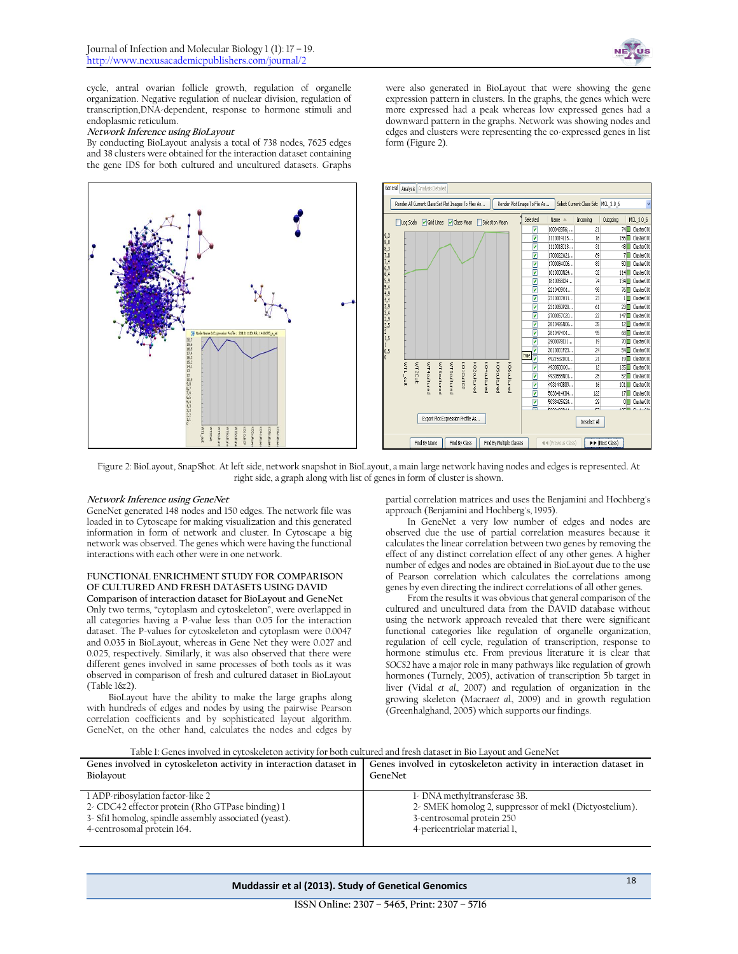

cycle, antral ovarian follicle growth, regulation of organelle organization. Negative regulation of nuclear division, regulation of transcription,DNA-dependent, response to hormone stimuli and endoplasmic reticulum.

#### **Network Inference using BioLayout**

By conducting BioLayout analysis a total of 738 nodes, 7625 edges and 38 clusters were obtained for the interaction dataset containing the gene IDS for both cultured and uncultured datasets. Graphs



were also generated in BioLayout that were showing the gene expression pattern in clusters. In the graphs, the genes which were more expressed had a peak whereas low expressed genes had a downward pattern in the graphs. Network was showing nodes and edges and clusters were representing the co-expressed genes in list form (Figure 2).



Figure 2: BioLayout, SnapShot. At left side, network snapshot in BioLayout, a main large network having nodes and edges is represented. At right side, a graph along with list of genes in form of cluster is shown.

#### **Network Inference using GeneNet**

GeneNet generated 148 nodes and 150 edges. The network file was loaded in to Cytoscape for making visualization and this generated information in form of network and cluster. In Cytoscape a big network was observed. The genes which were having the functional interactions with each other were in one network.

#### **FUNCTIONAL ENRICHMENT STUDY FOR COMPARISON OF CULTURED AND FRESH DATASETS USING DAVID**

**Comparison of interaction dataset for BioLayout and GeneNet** Only two terms, "cytoplasm and cytoskeleton", were overlapped in all categories having a P-value less than 0.05 for the interaction dataset. The P-values for cytoskeleton and cytoplasm were 0.0047 and 0.035 in BioLayout, whereas in Gene Net they were 0.027 and 0.025, respectively. Similarly, it was also observed that there were different genes involved in same processes of both tools as it was observed in comparison of fresh and cultured dataset in BioLayout (Table 1&2).

BioLayout have the ability to make the large graphs along with hundreds of edges and nodes by using the pairwise Pearson correlation coefficients and by sophisticated layout algorithm. GeneNet, on the other hand, calculates the nodes and edges by

partial correlation matrices and uses the Benjamini and Hochberg's approach (Benjamini and Hochberg's, 1995).

In GeneNet a very low number of edges and nodes are observed due the use of partial correlation measures because it calculates the linear correlation between two genes by removing the effect of any distinct correlation effect of any other genes. A higher number of edges and nodes are obtained in BioLayout due to the use of Pearson correlation which calculates the correlations among genes by even directing the indirect correlations of all other genes.

From the results it was obvious that general comparison of the cultured and uncultured data from the DAVID database without using the network approach revealed that there were significant functional categories like regulation of organelle organization, regulation of cell cycle, regulation of transcription, response to hormone stimulus etc. From previous literature it is clear that *SOCS2* have a major role in many pathways like regulation of growh hormones (Turnely, 2005), activation of transcription 5b target in liver (Vidal *et al.,* 2007) and regulation of organization in the growing skeleton (Macrae*et al.,* 2009) and in growth regulation (Greenhalghand, 2005) which supports our findings.

| TADIE I. GEHES INVOLVEG IN CVLOSKEIELON ACLIVILV IOI DOLII CUILUIEGI ANG HESH GALASEL IN DIO LAVOUL ANG GEHEIVEL |                                                                   |  |
|------------------------------------------------------------------------------------------------------------------|-------------------------------------------------------------------|--|
| Genes involved in cytoskeleton activity in interaction dataset in                                                | Genes involved in cytoskeleton activity in interaction dataset in |  |
| Biolayout                                                                                                        | GeneNet                                                           |  |
| 1 ADP-ribosylation factor-like 2                                                                                 | 1- DNA methyltransferase 3B.                                      |  |
| 2- CDC42 effector protein (Rho GTPase binding) 1                                                                 | 2- SMEK homolog 2, suppressor of mek1 (Dictyostelium).            |  |
| 3- Sfil homolog, spindle assembly associated (yeast).                                                            | 3-centrosomal protein 250                                         |  |
| 4-centrosomal protein 164.                                                                                       | 4-pericentriolar material 1,                                      |  |

#### Table 1: Genes involved in cytoskeleton activity for both cultured and fresh dataset in Bio Layout and GeneNet